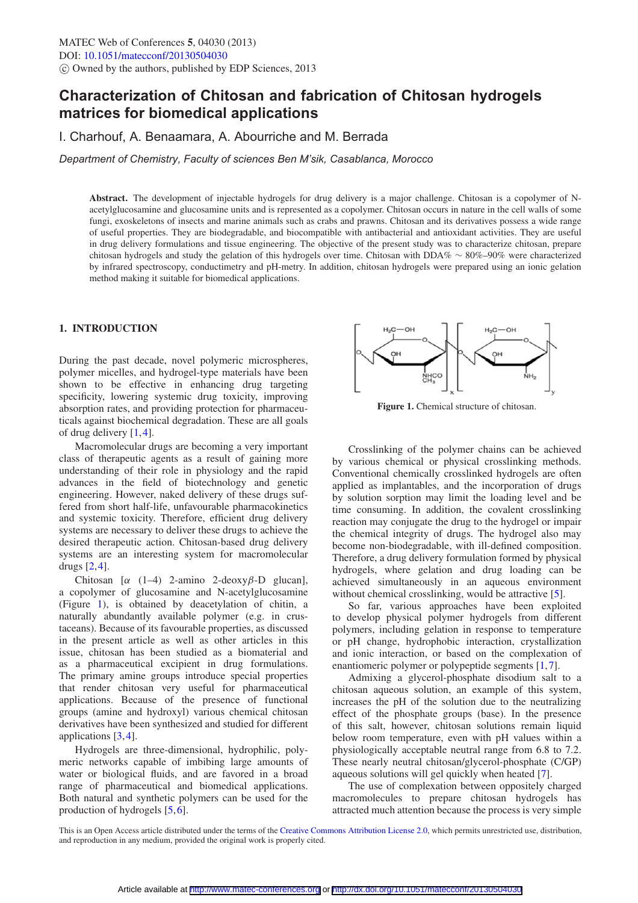# **Characterization of Chitosan and fabrication of Chitosan hydrogels matrices for biomedical applications**

I. Charhouf, A. Benaamara, A. Abourriche and M. Berrada

*Department of Chemistry, Faculty of sciences Ben M'sik, Casablanca, Morocco*

**Abstract.** The development of injectable hydrogels for drug delivery is a major challenge. Chitosan is a copolymer of Nacetylglucosamine and glucosamine units and is represented as a copolymer. Chitosan occurs in nature in the cell walls of some fungi, exoskeletons of insects and marine animals such as crabs and prawns. Chitosan and its derivatives possess a wide range of useful properties. They are biodegradable, and biocompatible with antibacterial and antioxidant activities. They are useful in drug delivery formulations and tissue engineering. The objective of the present study was to characterize chitosan, prepare chitosan hydrogels and study the gelation of this hydrogels over time. Chitosan with DDA% ∼ 80%–90% were characterized by infrared spectroscopy, conductimetry and pH-metry. In addition, chitosan hydrogels were prepared using an ionic gelation method making it suitable for biomedical applications.

# **1. INTRODUCTION**

During the past decade, novel polymeric microspheres, polymer micelles, and hydrogel-type materials have been shown to be effective in enhancing drug targeting specificity, lowering systemic drug toxicity, improving absorption rates, and providing protection for pharmaceuticals against biochemical degradation. These are all goals of drug delivery  $[1,4]$  $[1,4]$  $[1,4]$ .

Macromolecular drugs are becoming a very important class of therapeutic agents as a result of gaining more understanding of their role in physiology and the rapid advances in the field of biotechnology and genetic engineering. However, naked delivery of these drugs suffered from short half-life, unfavourable pharmacokinetics and systemic toxicity. Therefore, efficient drug delivery systems are necessary to deliver these drugs to achieve the desired therapeutic action. Chitosan-based drug delivery systems are an interesting system for macromolecular drugs [\[2](#page-2-2)[,4](#page-2-1)].

Chitosan  $\alpha$  (1–4) 2-amino 2-deoxy $\beta$ -D glucan], a copolymer of glucosamine and N-acetylglucosamine (Figure [1\)](#page-0-0), is obtained by deacetylation of chitin, a naturally abundantly available polymer (e.g. in crustaceans). Because of its favourable properties, as discussed in the present article as well as other articles in this issue, chitosan has been studied as a biomaterial and as a pharmaceutical excipient in drug formulations. The primary amine groups introduce special properties that render chitosan very useful for pharmaceutical applications. Because of the presence of functional groups (amine and hydroxyl) various chemical chitosan derivatives have been synthesized and studied for different applications [\[3](#page-2-3)[,4](#page-2-1)].

Hydrogels are three-dimensional, hydrophilic, polymeric networks capable of imbibing large amounts of water or biological fluids, and are favored in a broad range of pharmaceutical and biomedical applications. Both natural and synthetic polymers can be used for the production of hydrogels [\[5,](#page-2-4)[6](#page-2-5)].

<span id="page-0-0"></span>

**Figure 1.** Chemical structure of chitosan.

Crosslinking of the polymer chains can be achieved by various chemical or physical crosslinking methods. Conventional chemically crosslinked hydrogels are often applied as implantables, and the incorporation of drugs by solution sorption may limit the loading level and be time consuming. In addition, the covalent crosslinking reaction may conjugate the drug to the hydrogel or impair the chemical integrity of drugs. The hydrogel also may become non-biodegradable, with ill-defined composition. Therefore, a drug delivery formulation formed by physical hydrogels, where gelation and drug loading can be achieved simultaneously in an aqueous environment without chemical crosslinking, would be attractive [\[5\]](#page-2-4).

So far, various approaches have been exploited to develop physical polymer hydrogels from different polymers, including gelation in response to temperature or pH change, hydrophobic interaction, crystallization and ionic interaction, or based on the complexation of enantiomeric polymer or polypeptide segments [\[1](#page-2-0),[7\]](#page-2-6).

Admixing a glycerol-phosphate disodium salt to a chitosan aqueous solution, an example of this system, increases the pH of the solution due to the neutralizing effect of the phosphate groups (base). In the presence of this salt, however, chitosan solutions remain liquid below room temperature, even with pH values within a physiologically acceptable neutral range from 6.8 to 7.2. These nearly neutral chitosan/glycerol-phosphate (C/GP) aqueous solutions will gel quickly when heated [\[7](#page-2-6)].

The use of complexation between oppositely charged macromolecules to prepare chitosan hydrogels has attracted much attention because the process is very simple

This is an Open Access article distributed under the terms of the [Creative Commons Attribution License 2.0,](http://creativecommons.org/licenses/by/2.0/) which permits unrestricted use, distribution, and reproduction in any medium, provided the original work is properly cited.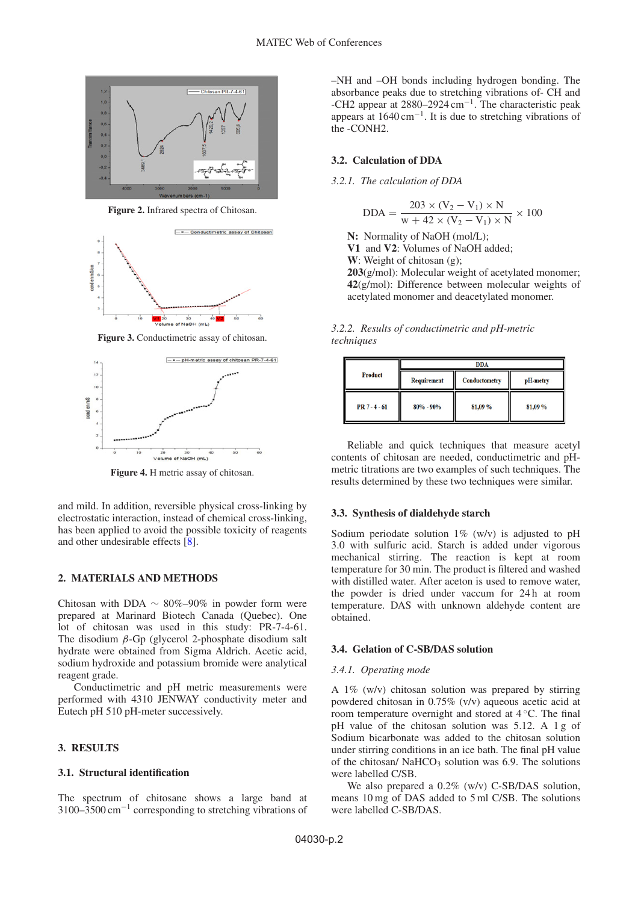

**Figure 2.** Infrared spectra of Chitosan.





**Figure 4.** H metric assay of chitosan.

and mild. In addition, reversible physical cross-linking by electrostatic interaction, instead of chemical cross-linking, has been applied to avoid the possible toxicity of reagents and other undesirable effects [\[8](#page-2-7)].

## **2. MATERIALS AND METHODS**

Chitosan with DDA  $\sim 80\% - 90\%$  in powder form were prepared at Marinard Biotech Canada (Quebec). One lot of chitosan was used in this study: PR-7-4-61. The disodium  $\beta$ -Gp (glycerol 2-phosphate disodium salt hydrate were obtained from Sigma Aldrich. Acetic acid, sodium hydroxide and potassium bromide were analytical reagent grade.

Conductimetric and pH metric measurements were performed with 4310 JENWAY conductivity meter and Eutech pH 510 pH-meter successively.

## **3. RESULTS**

### **3.1. Structural identification**

The spectrum of chitosane shows a large band at 3100–3500 cm−<sup>1</sup> corresponding to stretching vibrations of –NH and –OH bonds including hydrogen bonding. The absorbance peaks due to stretching vibrations of- CH and -CH2 appear at  $2880-2924$  cm<sup>-1</sup>. The characteristic peak appears at  $1640 \text{ cm}^{-1}$ . It is due to stretching vibrations of the -CONH2.

# **3.2. Calculation of DDA**

*3.2.1. The calculation of DDA*

$$
DDA = \frac{203 \times (V_2 - V_1) \times N}{w + 42 \times (V_2 - V_1) \times N} \times 100
$$

**N:** Normality of NaOH (mol/L); **V1** and **V2**: Volumes of NaOH added; **W**: Weight of chitosan (g); **203**(g/mol): Molecular weight of acetylated monomer; **42**(g/mol): Difference between molecular weights of acetylated monomer and deacetylated monomer.

*3.2.2. Results of conductimetric and pH-metric techniques*

| Product         | <b>DDA</b>    |                      |          |
|-----------------|---------------|----------------------|----------|
|                 | Requirement   | <b>Conductometry</b> | pH-metry |
| $PR 7 - 4 - 61$ | $80\% - 90\%$ | 81,09%               | 81,09%   |

Reliable and quick techniques that measure acetyl contents of chitosan are needed, conductimetric and pHmetric titrations are two examples of such techniques. The results determined by these two techniques were similar.

### **3.3. Synthesis of dialdehyde starch**

Sodium periodate solution  $1\%$  (w/v) is adjusted to pH 3.0 with sulfuric acid. Starch is added under vigorous mechanical stirring. The reaction is kept at room temperature for 30 min. The product is filtered and washed with distilled water. After aceton is used to remove water, the powder is dried under vaccum for 24 h at room temperature. DAS with unknown aldehyde content are obtained.

#### **3.4. Gelation of C-SB/DAS solution**

#### *3.4.1. Operating mode*

A 1% (w/v) chitosan solution was prepared by stirring powdered chitosan in 0.75% (v/v) aqueous acetic acid at room temperature overnight and stored at 4 ◦C. The final pH value of the chitosan solution was 5.12. A 1 g of Sodium bicarbonate was added to the chitosan solution under stirring conditions in an ice bath. The final pH value of the chitosan/  $NaHCO<sub>3</sub>$  solution was 6.9. The solutions were labelled C/SB.

We also prepared a  $0.2\%$  (w/v) C-SB/DAS solution, means 10 mg of DAS added to 5 ml C/SB. The solutions were labelled C-SB/DAS.